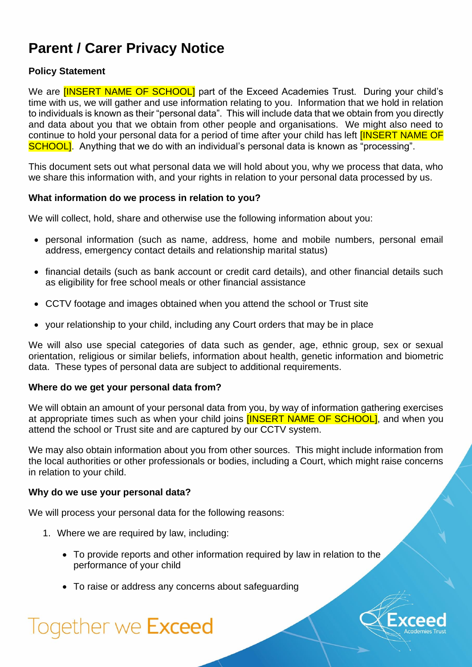# **Parent / Carer Privacy Notice**

# **Policy Statement**

We are **[INSERT NAME OF SCHOOL]** part of the Exceed Academies Trust. During your child's time with us, we will gather and use information relating to you. Information that we hold in relation to individuals is known as their "personal data". This will include data that we obtain from you directly and data about you that we obtain from other people and organisations. We might also need to continue to hold your personal data for a period of time after your child has left **[INSERT NAME OF** SCHOOL]. Anything that we do with an individual's personal data is known as "processing".

This document sets out what personal data we will hold about you, why we process that data, who we share this information with, and your rights in relation to your personal data processed by us.

#### **What information do we process in relation to you?**

We will collect, hold, share and otherwise use the following information about you:

- personal information (such as name, address, home and mobile numbers, personal email address, emergency contact details and relationship marital status)
- financial details (such as bank account or credit card details), and other financial details such as eligibility for free school meals or other financial assistance
- CCTV footage and images obtained when you attend the school or Trust site
- your relationship to your child, including any Court orders that may be in place

We will also use special categories of data such as gender, age, ethnic group, sex or sexual orientation, religious or similar beliefs, information about health, genetic information and biometric data. These types of personal data are subject to additional requirements.

#### **Where do we get your personal data from?**

We will obtain an amount of your personal data from you, by way of information gathering exercises at appropriate times such as when your child joins **[INSERT NAME OF SCHOOL]**, and when you attend the school or Trust site and are captured by our CCTV system.

We may also obtain information about you from other sources. This might include information from the local authorities or other professionals or bodies, including a Court, which might raise concerns in relation to your child.

#### **Why do we use your personal data?**

We will process your personal data for the following reasons:

- 1. Where we are required by law, including:
	- To provide reports and other information required by law in relation to the performance of your child
	- To raise or address any concerns about safeguarding

# Together we Exceed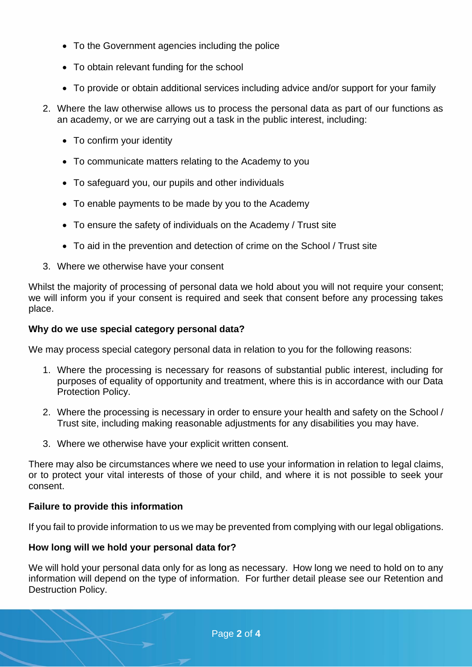- To the Government agencies including the police
- To obtain relevant funding for the school
- To provide or obtain additional services including advice and/or support for your family
- 2. Where the law otherwise allows us to process the personal data as part of our functions as an academy, or we are carrying out a task in the public interest, including:
	- To confirm your identity
	- To communicate matters relating to the Academy to you
	- To safeguard you, our pupils and other individuals
	- To enable payments to be made by you to the Academy
	- To ensure the safety of individuals on the Academy / Trust site
	- To aid in the prevention and detection of crime on the School / Trust site
- 3. Where we otherwise have your consent

Whilst the majority of processing of personal data we hold about you will not require your consent; we will inform you if your consent is required and seek that consent before any processing takes place.

## **Why do we use special category personal data?**

We may process special category personal data in relation to you for the following reasons:

- 1. Where the processing is necessary for reasons of substantial public interest, including for purposes of equality of opportunity and treatment, where this is in accordance with our Data Protection Policy.
- 2. Where the processing is necessary in order to ensure your health and safety on the School / Trust site, including making reasonable adjustments for any disabilities you may have.
- 3. Where we otherwise have your explicit written consent.

There may also be circumstances where we need to use your information in relation to legal claims, or to protect your vital interests of those of your child, and where it is not possible to seek your consent.

# **Failure to provide this information**

If you fail to provide information to us we may be prevented from complying with our legal obligations.

# **How long will we hold your personal data for?**

We will hold your personal data only for as long as necessary. How long we need to hold on to any information will depend on the type of information. For further detail please see our Retention and Destruction Policy.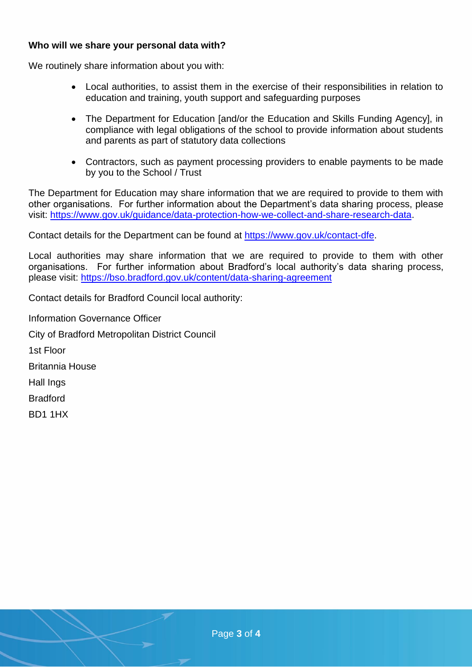#### **Who will we share your personal data with?**

We routinely share information about you with:

- Local authorities, to assist them in the exercise of their responsibilities in relation to education and training, youth support and safeguarding purposes
- The Department for Education [and/or the Education and Skills Funding Agency], in compliance with legal obligations of the school to provide information about students and parents as part of statutory data collections
- Contractors, such as payment processing providers to enable payments to be made by you to the School / Trust

The Department for Education may share information that we are required to provide to them with other organisations. For further information about the Department's data sharing process, please visit: [https://www.gov.uk/guidance/data-protection-how-we-collect-and-share-research-data.](https://www.gov.uk/guidance/data-protection-how-we-collect-and-share-research-data)

Contact details for the Department can be found at [https://www.gov.uk/contact-dfe.](https://www.gov.uk/contact-dfe)

Local authorities may share information that we are required to provide to them with other organisations. For further information about Bradford's local authority's data sharing process, please visit:<https://bso.bradford.gov.uk/content/data-sharing-agreement>

Contact details for Bradford Council local authority:

Information Governance Officer City of Bradford Metropolitan District Council 1st Floor Britannia House Hall Ings Bradford BD1 1HX